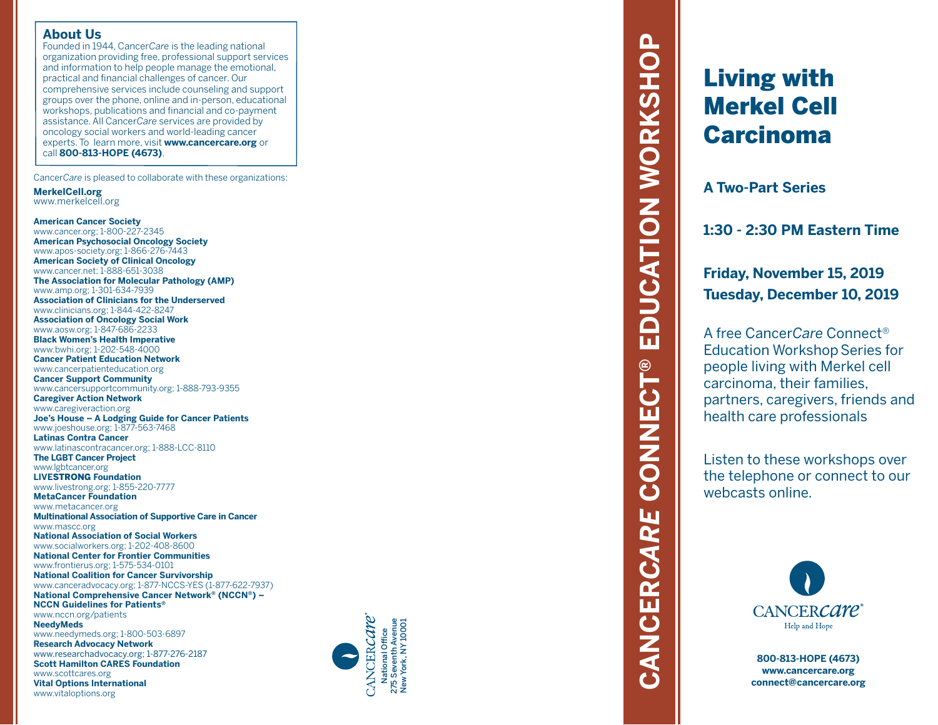### **About Us**

Founded in 1944, Cancer*Care* is the leading national organization providing free, professional support services and information to help people manage the emotional, practical and financial challenges of cancer. Our comprehensive services include counseling and support groups over the phone, online and in-person, educational workshops, publications and financial and co-payment assistance. All Cancer*Care* services are provided by oncology social workers and world-leading cancer experts. To learn more, visit **www.cancercare.org** or call **800-813-HOPE (4673)** .

Cancer*Care* is pleased to collaborate with these organizations:

**MerkelCell.org** www.merkelcell.org

**American Cancer Society** www.cancer.org; 1-800-227-2345 **American Psychosocial Oncology Society** www.apos-society.org; 1-866-276-7443 **American Society of Clinical Oncology** www.cancer.net; 1-888-651-3038 **The Association for Molecular Pathology (AMP)** www.amp.org; 1-301-634-7939 **Association of Clinicians for the Underserved** www.clinicians.org; 1-844-422-8247 **Association of Oncology Social Work** www.aosw.org; 1-847-686-2233 **Black Women's Health Imperative** www.bwhi.org; 1-202-548-4000 **Cancer Patient Education Network** www.cancerpatienteducation.org **Cancer Support Community** www.cancersupportcommunity.org; 1-888-793-9355 **Caregiver Action Network** www.caregiveraction.org **Joe's House – A Lodging Guide for Cancer Patients** www.joeshouse.org; 1-877-563-7468 **Latinas Contra Cancer** www.latinascontracancer.org; 1-888-LCC-8110 **The LGBT Cancer Project** www.lgbtcancer.org **LIVE**STRONG **Foundation** www.livestrong.org; 1-855-220-7777 **MetaCancer Foundation** www.metacancer.org **Multinational Association of Supportive Care in Cancer** www.mascc.org **National Association of Social Workers** www.socialworkers.org; 1-202-408-8600 **National Center for Frontier Communities** www.frontierus.org; 1-575-534-0101 **National Coalition for Cancer Survivorship** www.canceradvocacy.org; 1-877-NCCS-YES (1-877-622-7937) **National Comprehensive Cancer Network ® (NCCN ®) – NCCN Guidelines for Patients ®** www.nccn.org/patients **NeedyMeds** www.needymeds.org; 1-800-503-6897 **Research Advocacy Network** www.researchadvocacy.org; 1-877-276-2187 **Scott Hamilton CARES Foundation** www.scottcares.org **Vital Options International** www.vitaloptions.org



# **EDUCATION WORKSHOP CANCER***CARE* **CONNECT® EDUCATION WORKSHOP CONNECT®** CANCERCARE

# Living with Merkel Cell Carcinoma

**A Two-Part Series**

**1:30 - 2:30 PM Eastern Time**

**Friday, November 15, 2019 Tuesday, December 10, 2019**

A free Cancer*Care* Connect ® **Education Workshop Series for** people living with Merkel cell carcinoma, their families, partners, caregivers, friends and health care professionals

Listen to these workshops over the telephone or connect to our webcasts online.



**800-813-HOPE (4673) www.cancercare.org connect@cancercare.org**